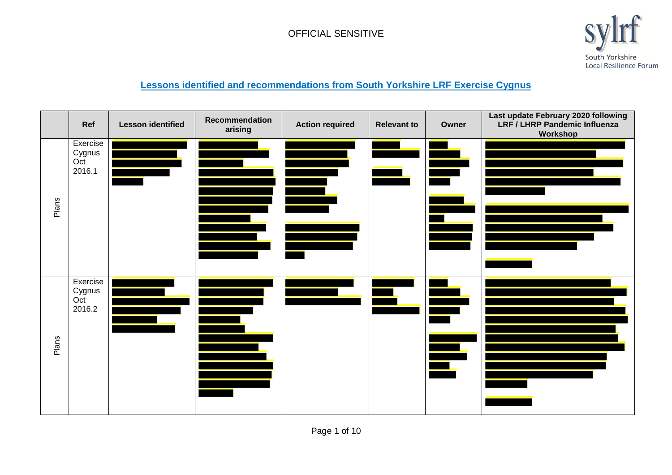

#### **Lessons identified and recommendations from South Yorkshire LRF Exercise Cygnus**

|       | Ref                                 | <b>Lesson identified</b> | <b>Recommendation</b><br>arising | <b>Action required</b> | <b>Relevant to</b> | Owner                          | Last update February 2020 following<br>LRF / LHRP Pandemic Influenza<br>Workshop |
|-------|-------------------------------------|--------------------------|----------------------------------|------------------------|--------------------|--------------------------------|----------------------------------------------------------------------------------|
| Plans | Exercise<br>Cygnus<br>Oct<br>2016.1 |                          |                                  |                        |                    |                                |                                                                                  |
| Plans | Exercise<br>Cygnus<br>Oct<br>2016.2 |                          |                                  |                        | $\blacklozenge$    | <u>e a</u><br>▀<br>$\triangle$ |                                                                                  |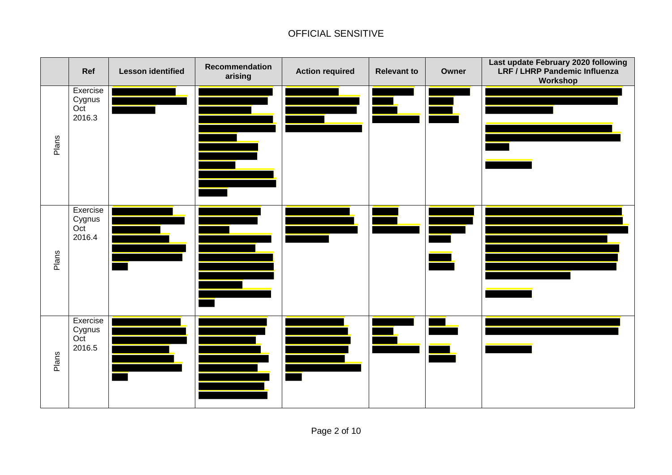|       | Ref                                 | <b>Lesson identified</b> | Recommendation<br>arising | <b>Action required</b> | <b>Relevant to</b> | Owner          | Last update February 2020 following<br>LRF / LHRP Pandemic Influenza<br>Workshop |
|-------|-------------------------------------|--------------------------|---------------------------|------------------------|--------------------|----------------|----------------------------------------------------------------------------------|
| Plans | Exercise<br>Cygnus<br>Oct<br>2016.3 |                          |                           |                        |                    | $\blacksquare$ |                                                                                  |
| Plans | Exercise<br>Cygnus<br>Oct<br>2016.4 |                          |                           |                        |                    | $\blacksquare$ |                                                                                  |
| Plans | Exercise<br>Cygnus<br>Oct<br>2016.5 |                          |                           |                        |                    |                |                                                                                  |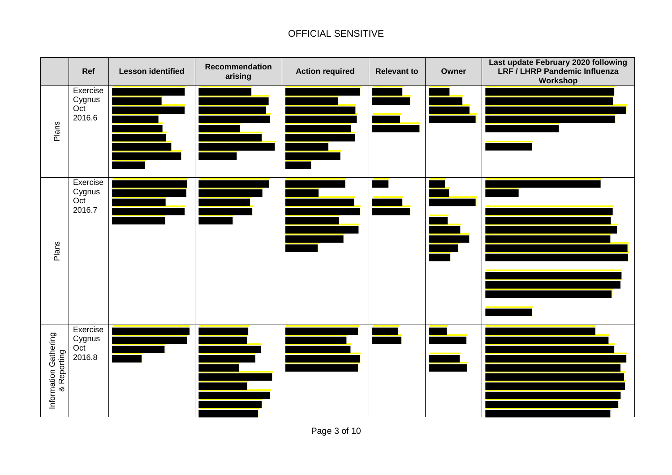|                                      | Ref                                 | <b>Lesson identified</b> | <b>Recommendation</b><br>arising | <b>Action required</b> | <b>Relevant to</b> | Owner | Last update February 2020 following<br>LRF / LHRP Pandemic Influenza<br>Workshop |
|--------------------------------------|-------------------------------------|--------------------------|----------------------------------|------------------------|--------------------|-------|----------------------------------------------------------------------------------|
| Plans                                | Exercise<br>Cygnus<br>Oct<br>2016.6 |                          |                                  |                        |                    |       |                                                                                  |
| Plans                                | Exercise<br>Cygnus<br>Oct<br>2016.7 |                          |                                  |                        |                    | ▙     |                                                                                  |
| Information Gathering<br>& Reporting | Exercise<br>Cygnus<br>Oct<br>2016.8 |                          |                                  |                        |                    |       |                                                                                  |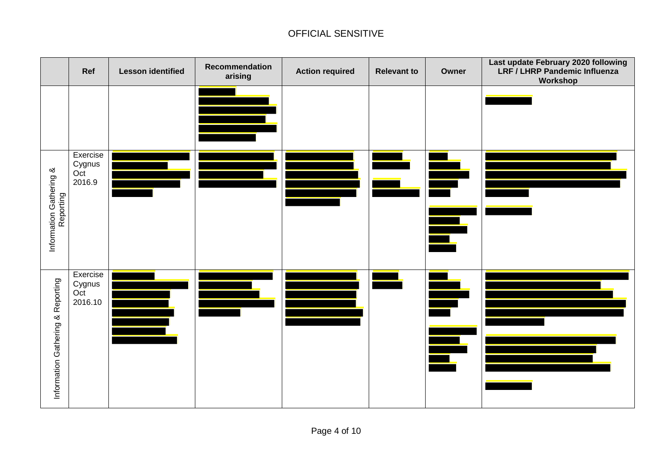|                                      | Ref                                  | <b>Lesson identified</b> | Recommendation<br>arising | <b>Action required</b> | <b>Relevant to</b> | Owner                          | Last update February 2020 following<br>LRF / LHRP Pandemic Influenza<br>Workshop |
|--------------------------------------|--------------------------------------|--------------------------|---------------------------|------------------------|--------------------|--------------------------------|----------------------------------------------------------------------------------|
|                                      |                                      |                          |                           |                        |                    |                                |                                                                                  |
| Information Gathering &<br>Reporting | Exercise<br>Cygnus<br>Oct<br>2016.9  |                          |                           |                        |                    | $\blacksquare$                 |                                                                                  |
| & Reporting<br>Information Gathering | Exercise<br>Cygnus<br>Oct<br>2016.10 |                          |                           |                        |                    | $\frac{1}{\sqrt{2}}$<br>▅<br>F |                                                                                  |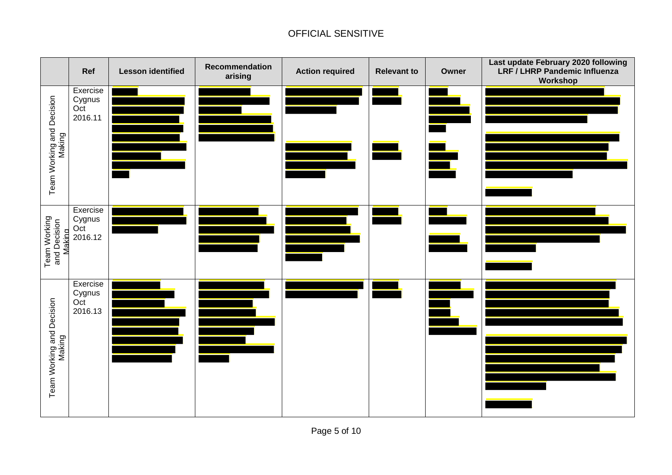|                                        | Ref                                  | <b>Lesson identified</b> | Recommendation<br>arising | <b>Action required</b> | <b>Relevant to</b> | Owner          | Last update February 2020 following<br>LRF / LHRP Pandemic Influenza<br>Workshop |
|----------------------------------------|--------------------------------------|--------------------------|---------------------------|------------------------|--------------------|----------------|----------------------------------------------------------------------------------|
| Team Working and Decision<br>Making    | Exercise<br>Cygnus<br>Oct<br>2016.11 |                          |                           |                        |                    | $\blacksquare$ |                                                                                  |
| Team Working<br>and Decision<br>Making | Exercise<br>Cygnus<br>Oct<br>2016.12 |                          |                           |                        |                    |                |                                                                                  |
| Team Working and Decision<br>Making    | Exercise<br>Cygnus<br>Oct<br>2016.13 |                          |                           |                        |                    | Ē,             |                                                                                  |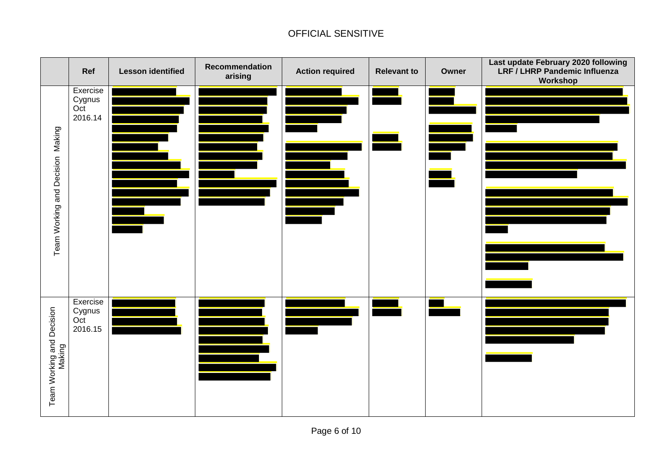|                                     | Ref                                  | <b>Lesson identified</b> | Recommendation<br>arising | <b>Action required</b>         | <b>Relevant to</b> | Owner          | Last update February 2020 following<br>LRF / LHRP Pandemic Influenza<br>Workshop                                                                                                                                                     |
|-------------------------------------|--------------------------------------|--------------------------|---------------------------|--------------------------------|--------------------|----------------|--------------------------------------------------------------------------------------------------------------------------------------------------------------------------------------------------------------------------------------|
| Making<br>Team Working and Decision | Exercise<br>Cygnus<br>Oct<br>2016.14 |                          |                           |                                |                    | $\blacksquare$ | <u> 1980 - An Dùbhlachd ann an Dùbhlachd ann an Dùbhlachd ann an Dùbhlachd ann an Dùbhlachd ann an Dùbhlachd ann an Dùbhlachd ann an Dùbhlachd ann an Dùbhlachd ann an Dùbhlachd ann an Dùbhlachd ann an Dùbhlachd ann an Dùbhla</u> |
| Team Working and Decision<br>Making | Exercise<br>Cygnus<br>Oct<br>2016.15 |                          |                           | <u>an manalain.</u><br>Ngjarje |                    |                |                                                                                                                                                                                                                                      |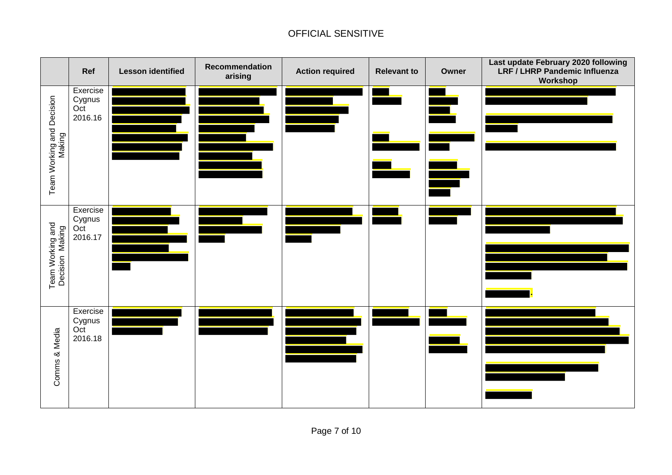|                                     | Ref                                  | <b>Lesson identified</b> | Recommendation<br>arising | <b>Action required</b> | <b>Relevant to</b> | Owner         | Last update February 2020 following<br>LRF / LHRP Pandemic Influenza<br>Workshop |
|-------------------------------------|--------------------------------------|--------------------------|---------------------------|------------------------|--------------------|---------------|----------------------------------------------------------------------------------|
| Team Working and Decision<br>Making | Exercise<br>Cygnus<br>Oct<br>2016.16 |                          |                           |                        |                    | <b>A</b><br>S |                                                                                  |
| Team Working and<br>Decision Making | Exercise<br>Cygnus<br>Oct<br>2016.17 |                          |                           |                        |                    |               |                                                                                  |
| Comms & Media                       | Exercise<br>Cygnus<br>Oct<br>2016.18 |                          |                           |                        |                    |               |                                                                                  |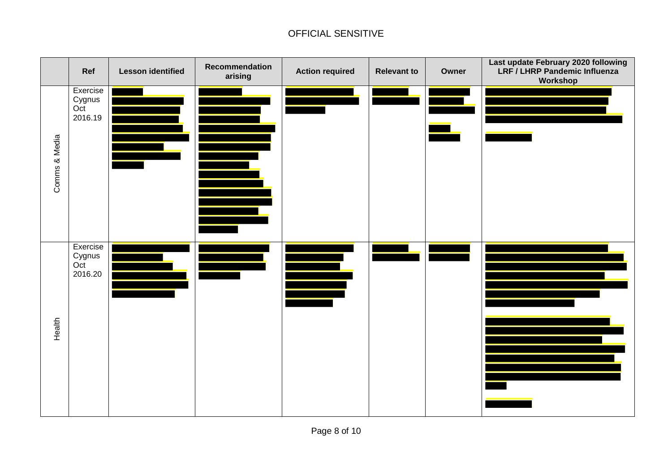|               | Ref                                  | <b>Lesson identified</b> | <b>Recommendation</b><br>arising | <b>Action required</b> | <b>Relevant to</b> | Owner | Last update February 2020 following<br>LRF / LHRP Pandemic Influenza<br>Workshop |
|---------------|--------------------------------------|--------------------------|----------------------------------|------------------------|--------------------|-------|----------------------------------------------------------------------------------|
| Comms & Media | Exercise<br>Cygnus<br>Oct<br>2016.19 |                          |                                  |                        |                    |       | <u> 1989 - Johann Stoff, Amerikaansk politiker (</u>                             |
| Health        | Exercise<br>Cygnus<br>Oct<br>2016.20 |                          |                                  |                        |                    |       |                                                                                  |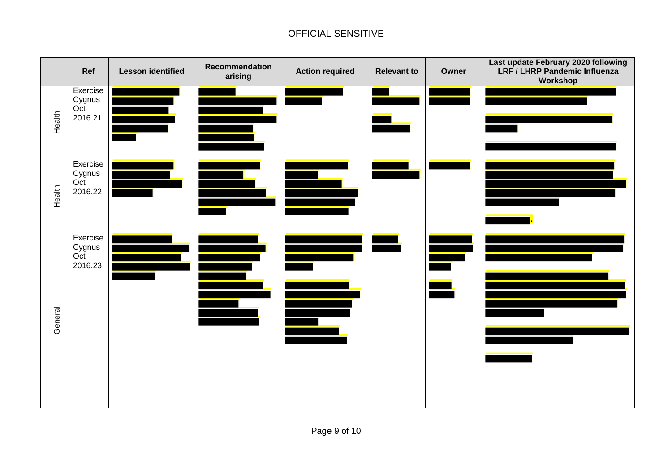|         | Ref                                  | <b>Lesson identified</b> | Recommendation<br>arising | <b>Action required</b>                          | <b>Relevant to</b> | Owner                                             | Last update February 2020 following<br>LRF / LHRP Pandemic Influenza<br>Workshop |
|---------|--------------------------------------|--------------------------|---------------------------|-------------------------------------------------|--------------------|---------------------------------------------------|----------------------------------------------------------------------------------|
| Health  | Exercise<br>Cygnus<br>Oct<br>2016.21 |                          |                           |                                                 |                    |                                                   |                                                                                  |
| Health  | Exercise<br>Cygnus<br>Oct<br>2016.22 |                          |                           |                                                 |                    |                                                   |                                                                                  |
| General | Exercise<br>Cygnus<br>Oct<br>2016.23 |                          |                           | $\blacksquare$<br><u> 1989 - Andrew Sterner</u> |                    | $\begin{array}{c} \bullet \\ \bullet \end{array}$ |                                                                                  |